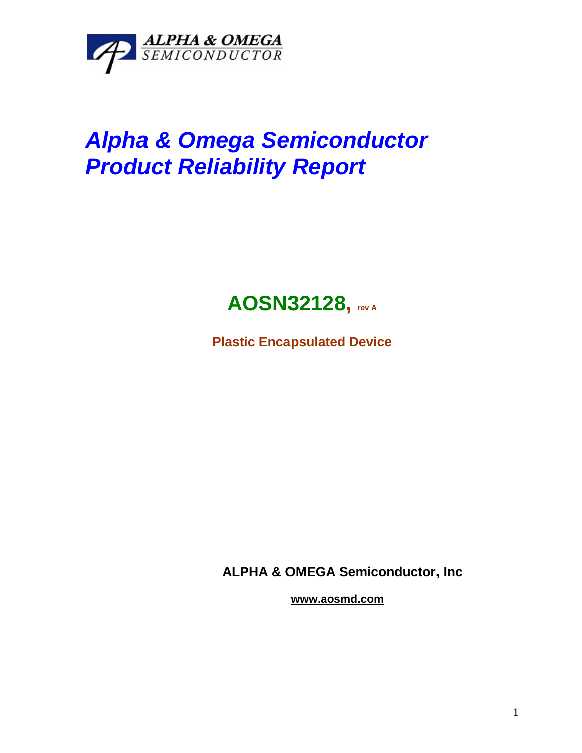

## *Alpha & Omega Semiconductor Product Reliability Report*



**Plastic Encapsulated Device**

**ALPHA & OMEGA Semiconductor, Inc**

**www.aosmd.com**